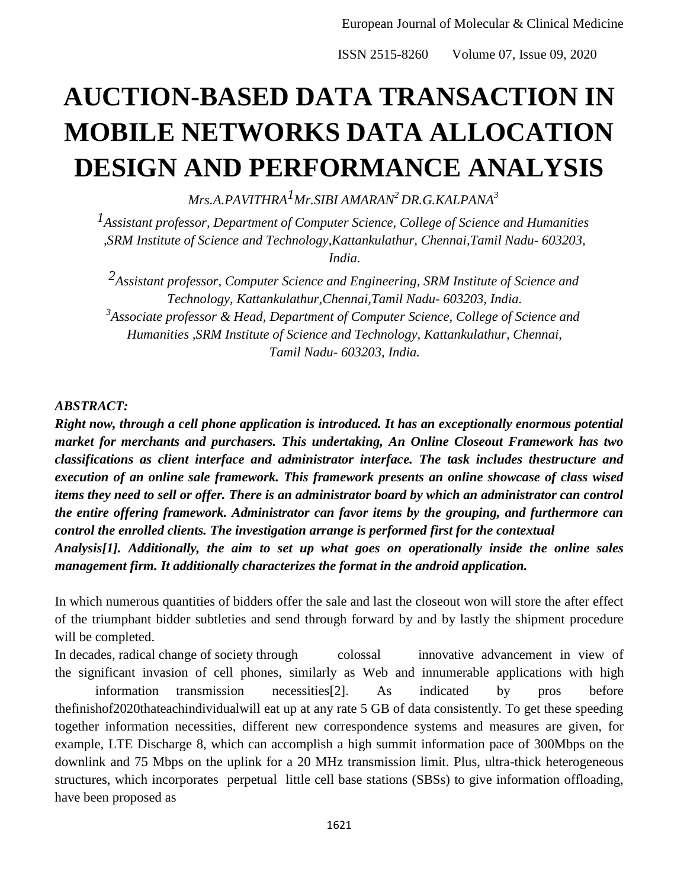# **AUCTION-BASED DATA TRANSACTION IN MOBILE NETWORKS DATA ALLOCATION DESIGN AND PERFORMANCE ANALYSIS**

*Mrs.A.PAVITHRA1Mr.SIBI AMARAN<sup>2</sup>DR.G.KALPANA<sup>3</sup>*

*1Assistant professor, Department of Computer Science, College of Science and Humanities ,SRM Institute of Science and Technology,Kattankulathur, Chennai,Tamil Nadu- 603203, India.* 

*2Assistant professor, Computer Science and Engineering, SRM Institute of Science and Technology, Kattankulathur,Chennai,Tamil Nadu- 603203, India. 3 Associate professor & Head, Department of Computer Science, College of Science and Humanities ,SRM Institute of Science and Technology, Kattankulathur, Chennai, Tamil Nadu- 603203, India.* 

#### *ABSTRACT:*

*Right now, through a cell phone application is introduced. It has an exceptionally enormous potential market for merchants and purchasers. This undertaking, An Online Closeout Framework has two classifications as client interface and administrator interface. The task includes thestructure and execution of an online sale framework. This framework presents an online showcase of class wised items they need to sell or offer. There is an administrator board by which an administrator can control the entire offering framework. Administrator can favor items by the grouping, and furthermore can control the enrolled clients. The investigation arrange is performed first for the contextual* 

*Analysis[1]. Additionally, the aim to set up what goes on operationally inside the online sales management firm. It additionally characterizes the format in the android application.* 

In which numerous quantities of bidders offer the sale and last the closeout won will store the after effect of the triumphant bidder subtleties and send through forward by and by lastly the shipment procedure will be completed.

In decades, radical change of society through colossal innovative advancement in view of the significant invasion of cell phones, similarly as Web and innumerable applications with high information transmission necessities[2]. As indicated by pros before thefinishof2020thateachindividualwill eat up at any rate 5 GB of data consistently. To get these speeding together information necessities, different new correspondence systems and measures are given, for example, LTE Discharge 8, which can accomplish a high summit information pace of 300Mbps on the downlink and 75 Mbps on the uplink for a 20 MHz transmission limit. Plus, ultra-thick heterogeneous structures, which incorporates perpetual little cell base stations (SBSs) to give information offloading, have been proposed as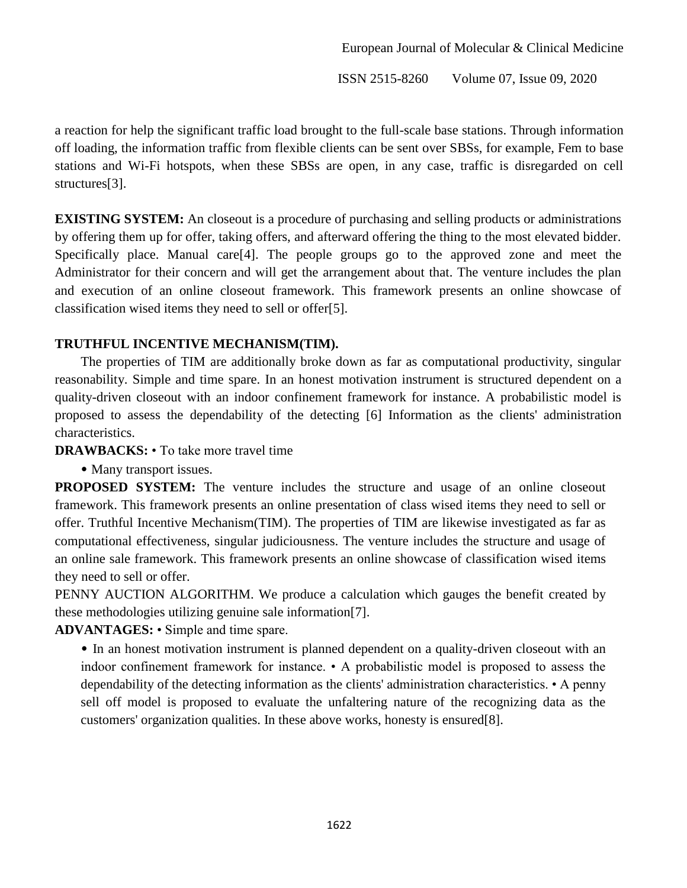a reaction for help the significant traffic load brought to the full-scale base stations. Through information off loading, the information traffic from flexible clients can be sent over SBSs, for example, Fem to base stations and Wi-Fi hotspots, when these SBSs are open, in any case, traffic is disregarded on cell structures[3].

**EXISTING SYSTEM:** An closeout is a procedure of purchasing and selling products or administrations by offering them up for offer, taking offers, and afterward offering the thing to the most elevated bidder. Specifically place. Manual care[4]. The people groups go to the approved zone and meet the Administrator for their concern and will get the arrangement about that. The venture includes the plan and execution of an online closeout framework. This framework presents an online showcase of classification wised items they need to sell or offer[5].

## **TRUTHFUL INCENTIVE MECHANISM(TIM).**

The properties of TIM are additionally broke down as far as computational productivity, singular reasonability. Simple and time spare. In an honest motivation instrument is structured dependent on a quality-driven closeout with an indoor confinement framework for instance. A probabilistic model is proposed to assess the dependability of the detecting [6] Information as the clients' administration characteristics.

**DRAWBACKS:** • To take more travel time

• Many transport issues.

**PROPOSED SYSTEM:** The venture includes the structure and usage of an online closeout framework. This framework presents an online presentation of class wised items they need to sell or offer. Truthful Incentive Mechanism(TIM). The properties of TIM are likewise investigated as far as computational effectiveness, singular judiciousness. The venture includes the structure and usage of an online sale framework. This framework presents an online showcase of classification wised items they need to sell or offer.

PENNY AUCTION ALGORITHM. We produce a calculation which gauges the benefit created by these methodologies utilizing genuine sale information[7].

**ADVANTAGES:** • Simple and time spare.

• In an honest motivation instrument is planned dependent on a quality-driven closeout with an indoor confinement framework for instance. • A probabilistic model is proposed to assess the dependability of the detecting information as the clients' administration characteristics. • A penny sell off model is proposed to evaluate the unfaltering nature of the recognizing data as the customers' organization qualities. In these above works, honesty is ensured[8].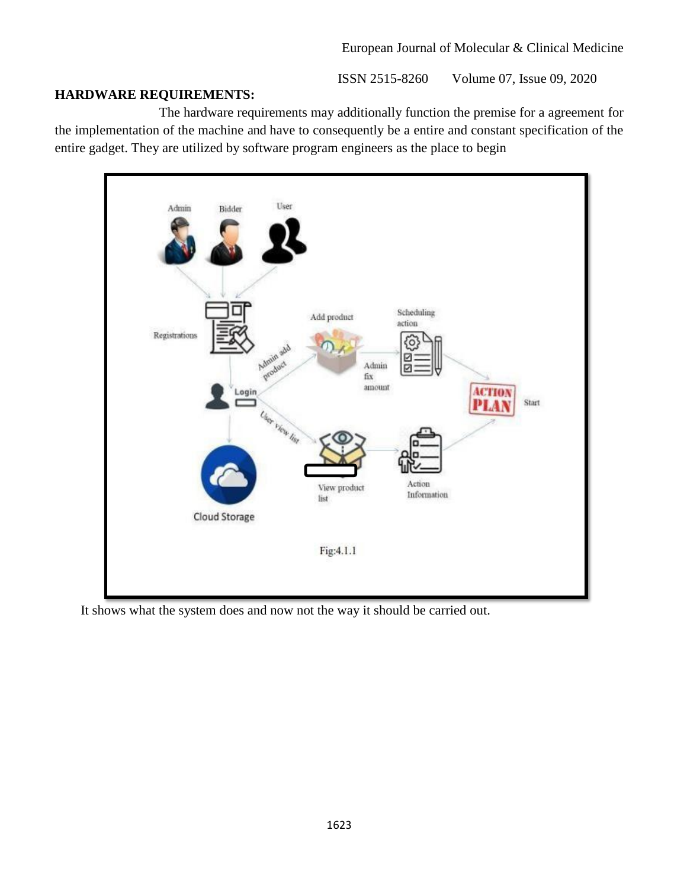## **HARDWARE REQUIREMENTS:**

The hardware requirements may additionally function the premise for a agreement for the implementation of the machine and have to consequently be a entire and constant specification of the entire gadget. They are utilized by software program engineers as the place to begin



It shows what the system does and now not the way it should be carried out.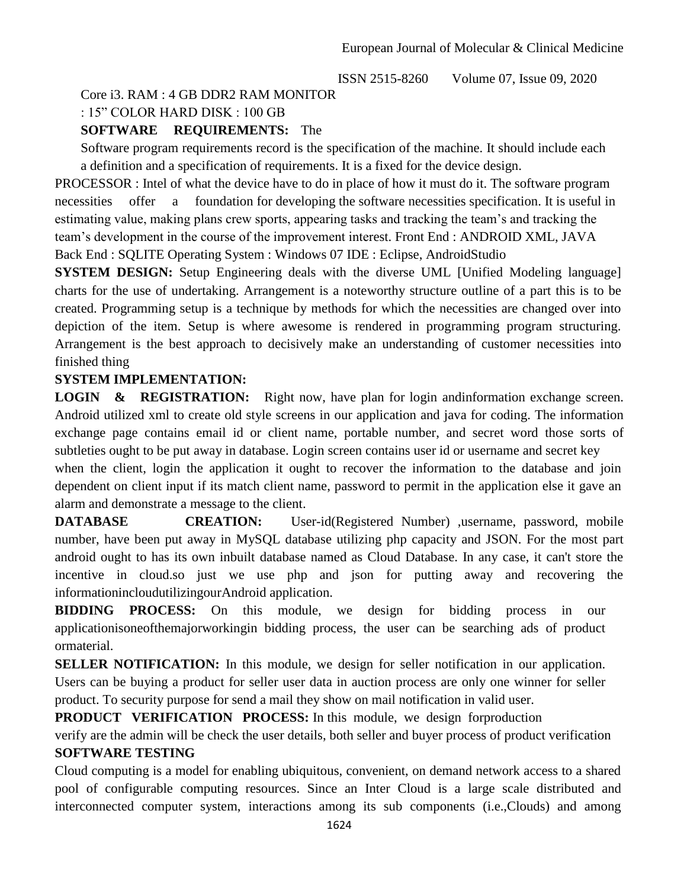# Core i3. RAM : 4 GB DDR2 RAM MONITOR

: 15" COLOR HARD DISK : 100 GB

#### **SOFTWARE REQUIREMENTS:** The

Software program requirements record is the specification of the machine. It should include each a definition and a specification of requirements. It is a fixed for the device design.

PROCESSOR : Intel of what the device have to do in place of how it must do it. The software program necessities offer a foundation for developing the software necessities specification. It is useful in estimating value, making plans crew sports, appearing tasks and tracking the team's and tracking the team's development in the course of the improvement interest. Front End : ANDROID XML, JAVA Back End : SQLITE Operating System : Windows 07 IDE : Eclipse, AndroidStudio

**SYSTEM DESIGN:** Setup Engineering deals with the diverse UML [Unified Modeling language] charts for the use of undertaking. Arrangement is a noteworthy structure outline of a part this is to be created. Programming setup is a technique by methods for which the necessities are changed over into depiction of the item. Setup is where awesome is rendered in programming program structuring. Arrangement is the best approach to decisively make an understanding of customer necessities into finished thing

#### **SYSTEM IMPLEMENTATION:**

**LOGIN & REGISTRATION:** Right now, have plan for login andinformation exchange screen. Android utilized xml to create old style screens in our application and java for coding. The information exchange page contains email id or client name, portable number, and secret word those sorts of subtleties ought to be put away in database. Login screen contains user id or username and secret key when the client, login the application it ought to recover the information to the database and join dependent on client input if its match client name, password to permit in the application else it gave an alarm and demonstrate a message to the client.

**DATABASE CREATION:** User-id(Registered Number) ,username, password, mobile number, have been put away in MySQL database utilizing php capacity and JSON. For the most part android ought to has its own inbuilt database named as Cloud Database. In any case, it can't store the incentive in cloud.so just we use php and json for putting away and recovering the informationincloudutilizingourAndroid application.

**BIDDING PROCESS:** On this module, we design for bidding process in our applicationisoneofthemajorworkingin bidding process, the user can be searching ads of product ormaterial.

**SELLER NOTIFICATION:** In this module, we design for seller notification in our application. Users can be buying a product for seller user data in auction process are only one winner for seller product. To security purpose for send a mail they show on mail notification in valid user.

**PRODUCT VERIFICATION PROCESS:** In this module, we design forproduction

verify are the admin will be check the user details, both seller and buyer process of product verification **SOFTWARE TESTING**

Cloud computing is a model for enabling ubiquitous, convenient, on demand network access to a shared pool of configurable computing resources. Since an Inter Cloud is a large scale distributed and interconnected computer system, interactions among its sub components (i.e.,Clouds) and among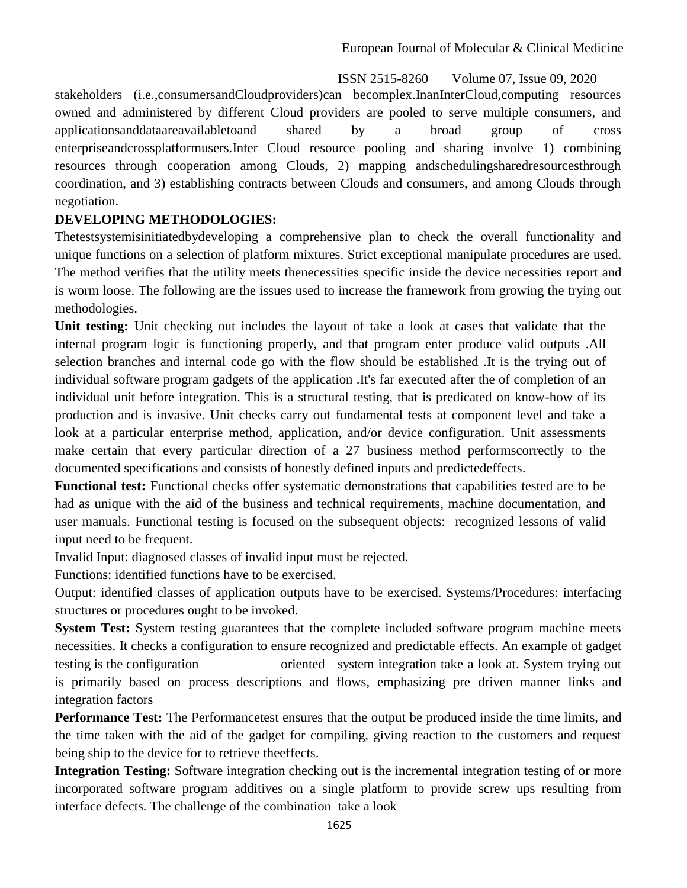stakeholders (i.e.,consumersandCloudproviders)can becomplex.InanInterCloud,computing resources owned and administered by different Cloud providers are pooled to serve multiple consumers, and applicationsanddataareavailabletoand shared by a broad group of cross enterpriseandcrossplatformusers.Inter Cloud resource pooling and sharing involve 1) combining resources through cooperation among Clouds, 2) mapping andschedulingsharedresourcesthrough coordination, and 3) establishing contracts between Clouds and consumers, and among Clouds through negotiation.

## **DEVELOPING METHODOLOGIES:**

Thetestsystemisinitiatedbydeveloping a comprehensive plan to check the overall functionality and unique functions on a selection of platform mixtures. Strict exceptional manipulate procedures are used. The method verifies that the utility meets thenecessities specific inside the device necessities report and is worm loose. The following are the issues used to increase the framework from growing the trying out methodologies.

**Unit testing:** Unit checking out includes the layout of take a look at cases that validate that the internal program logic is functioning properly, and that program enter produce valid outputs .All selection branches and internal code go with the flow should be established .It is the trying out of individual software program gadgets of the application .It's far executed after the of completion of an individual unit before integration. This is a structural testing, that is predicated on know-how of its production and is invasive. Unit checks carry out fundamental tests at component level and take a look at a particular enterprise method, application, and/or device configuration. Unit assessments make certain that every particular direction of a 27 business method performscorrectly to the documented specifications and consists of honestly defined inputs and predictedeffects.

**Functional test:** Functional checks offer systematic demonstrations that capabilities tested are to be had as unique with the aid of the business and technical requirements, machine documentation, and user manuals. Functional testing is focused on the subsequent objects: recognized lessons of valid input need to be frequent.

Invalid Input: diagnosed classes of invalid input must be rejected.

Functions: identified functions have to be exercised.

Output: identified classes of application outputs have to be exercised. Systems/Procedures: interfacing structures or procedures ought to be invoked.

**System Test:** System testing guarantees that the complete included software program machine meets necessities. It checks a configuration to ensure recognized and predictable effects. An example of gadget testing is the configuration oriented system integration take a look at. System trying out is primarily based on process descriptions and flows, emphasizing pre driven manner links and integration factors

**Performance Test:** The Performancetest ensures that the output be produced inside the time limits, and the time taken with the aid of the gadget for compiling, giving reaction to the customers and request being ship to the device for to retrieve theeffects.

**Integration Testing:** Software integration checking out is the incremental integration testing of or more incorporated software program additives on a single platform to provide screw ups resulting from interface defects. The challenge of the combination take a look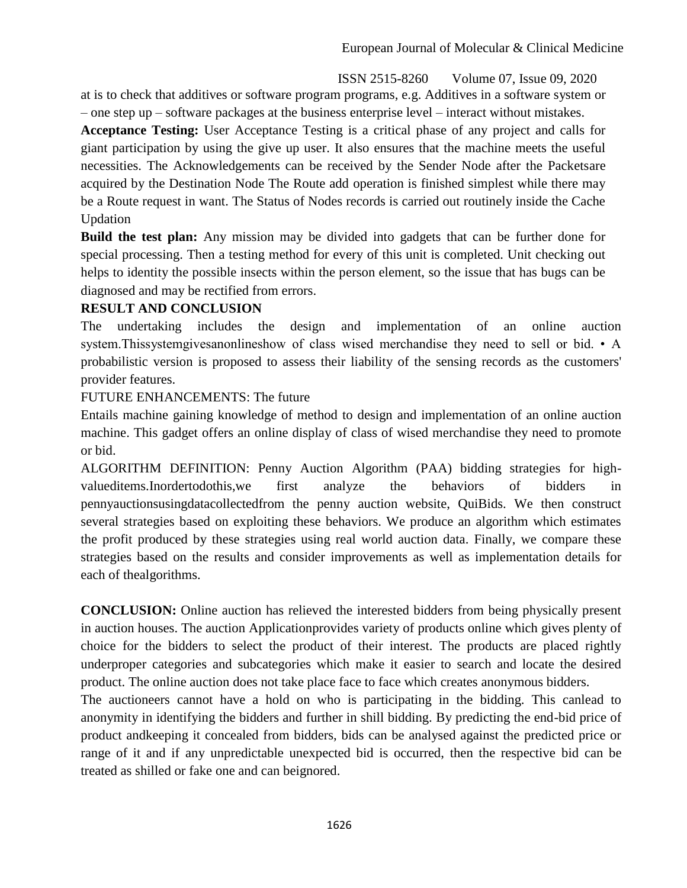at is to check that additives or software program programs, e.g. Additives in a software system or – one step up – software packages at the business enterprise level – interact without mistakes.

**Acceptance Testing:** User Acceptance Testing is a critical phase of any project and calls for giant participation by using the give up user. It also ensures that the machine meets the useful necessities. The Acknowledgements can be received by the Sender Node after the Packetsare acquired by the Destination Node The Route add operation is finished simplest while there may be a Route request in want. The Status of Nodes records is carried out routinely inside the Cache Updation

**Build the test plan:** Any mission may be divided into gadgets that can be further done for special processing. Then a testing method for every of this unit is completed. Unit checking out helps to identity the possible insects within the person element, so the issue that has bugs can be diagnosed and may be rectified from errors.

## **RESULT AND CONCLUSION**

The undertaking includes the design and implementation of an online auction system.Thissystemgivesanonlineshow of class wised merchandise they need to sell or bid. • A probabilistic version is proposed to assess their liability of the sensing records as the customers' provider features.

## FUTURE ENHANCEMENTS: The future

Entails machine gaining knowledge of method to design and implementation of an online auction machine. This gadget offers an online display of class of wised merchandise they need to promote or bid.

ALGORITHM DEFINITION: Penny Auction Algorithm (PAA) bidding strategies for highvalueditems.Inordertodothis,we first analyze the behaviors of bidders in pennyauctionsusingdatacollectedfrom the penny auction website, QuiBids. We then construct several strategies based on exploiting these behaviors. We produce an algorithm which estimates the profit produced by these strategies using real world auction data. Finally, we compare these strategies based on the results and consider improvements as well as implementation details for each of thealgorithms.

**CONCLUSION:** Online auction has relieved the interested bidders from being physically present in auction houses. The auction Applicationprovides variety of products online which gives plenty of choice for the bidders to select the product of their interest. The products are placed rightly underproper categories and subcategories which make it easier to search and locate the desired product. The online auction does not take place face to face which creates anonymous bidders.

The auctioneers cannot have a hold on who is participating in the bidding. This canlead to anonymity in identifying the bidders and further in shill bidding. By predicting the end-bid price of product andkeeping it concealed from bidders, bids can be analysed against the predicted price or range of it and if any unpredictable unexpected bid is occurred, then the respective bid can be treated as shilled or fake one and can beignored.